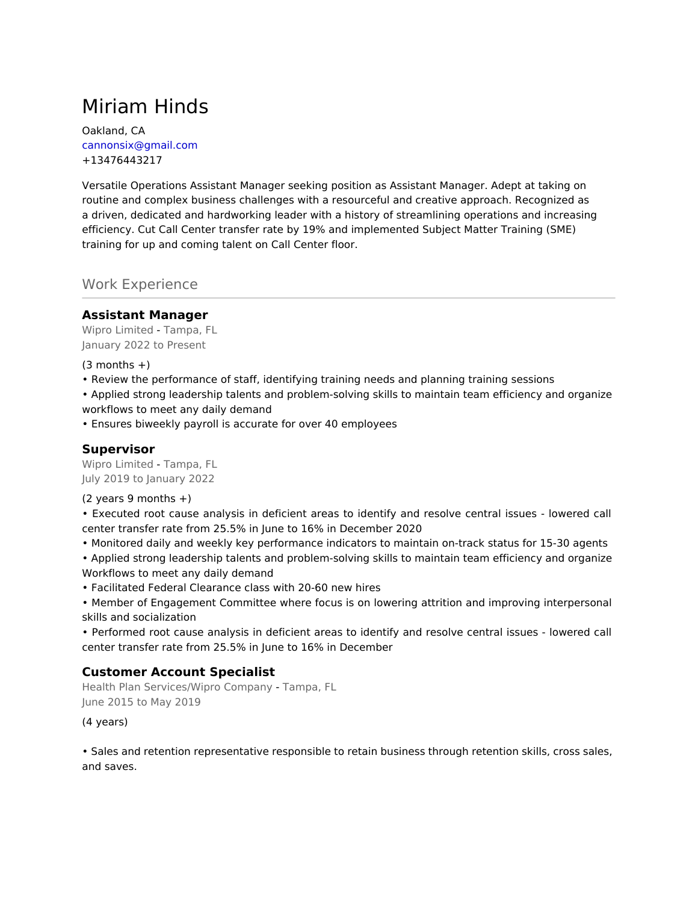# Miriam Hinds

Oakland, CA cannonsix@gmail.com +13476443217

Versatile Operations Assistant Manager seeking position as Assistant Manager. Adept at taking on routine and complex business challenges with a resourceful and creative approach. Recognized as a driven, dedicated and hardworking leader with a history of streamlining operations and increasing efficiency. Cut Call Center transfer rate by 19% and implemented Subject Matter Training (SME) training for up and coming talent on Call Center floor.

Work Experience

## **Assistant Manager**

Wipro Limited - Tampa, FL January 2022 to Present

 $(3$  months  $+)$ 

- Review the performance of staff, identifying training needs and planning training sessions
- Applied strong leadership talents and problem-solving skills to maintain team efficiency and organize workflows to meet any daily demand

• Ensures biweekly payroll is accurate for over 40 employees

#### **Supervisor**

Wipro Limited - Tampa, FL July 2019 to January 2022

 $(2 \text{ years } 9 \text{ months } +)$ 

• Executed root cause analysis in deficient areas to identify and resolve central issues - lowered call center transfer rate from 25.5% in June to 16% in December 2020

• Monitored daily and weekly key performance indicators to maintain on-track status for 15-30 agents

• Applied strong leadership talents and problem-solving skills to maintain team efficiency and organize Workflows to meet any daily demand

• Facilitated Federal Clearance class with 20-60 new hires

• Member of Engagement Committee where focus is on lowering attrition and improving interpersonal skills and socialization

• Performed root cause analysis in deficient areas to identify and resolve central issues - lowered call center transfer rate from 25.5% in June to 16% in December

#### **Customer Account Specialist**

Health Plan Services/Wipro Company - Tampa, FL June 2015 to May 2019

(4 years)

• Sales and retention representative responsible to retain business through retention skills, cross sales, and saves.